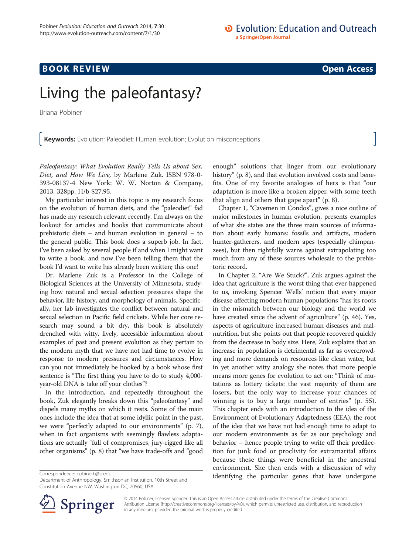## **BOOK REVIEW AND EXAMPLE EXAMPLE EXAMPLE EXAMPLE EXAMPLE EXAMPLE EXAMPLE EXAMPLE EXAMPLE EXAMPLE EXAMPLE EXAMPL**

## Living the paleofantasy?

Briana Pobiner

Keywords: Evolution; Paleodiet; Human evolution; Evolution misconceptions

Paleofantasy: What Evolution Really Tells Us about Sex, Diet, and How We Live, by Marlene Zuk. ISBN 978-0- 393-08137-4 New York: W. W. Norton & Company, 2013. 328pp. H/b \$27.95.

My particular interest in this topic is my research focus on the evolution of human diets, and the "paleodiet" fad has made my research relevant recently. I'm always on the lookout for articles and books that communicate about prehistoric diets – and human evolution in general – to the general public. This book does a superb job. In fact, I've been asked by several people if and when I might want to write a book, and now I've been telling them that the book I'd want to write has already been written; this one!

Dr. Marlene Zuk is a Professor in the College of Biological Sciences at the University of Minnesota, studying how natural and sexual selection pressures shape the behavior, life history, and morphology of animals. Specifically, her lab investigates the conflict between natural and sexual selection in Pacific field crickets. While her core research may sound a bit dry, this book is absolutely drenched with witty, lively, accessible information about examples of past and present evolution as they pertain to the modern myth that we have not had time to evolve in response to modern pressures and circumstances. How can you not immediately be hooked by a book whose first sentence is "The first thing you have to do to study 4,000 year-old DNA is take off your clothes"?

In the introduction, and repeatedly throughout the book, Zuk elegantly breaks down this "paleofantasy" and dispels many myths on which it rests. Some of the main ones include the idea that at some idyllic point in the past, we were "perfectly adapted to our environments" (p. 7), when in fact organisms with seemingly flawless adaptations are actually "full of compromises, jury-rigged like all other organisms" (p. 8) that "we have trade-offs and "good

Department of Anthropology, Smithsonian Institution, 10th Street and Constitution Avenue NW, Washington DC, 20560, USA



Chapter 1, "Cavemen in Condos", gives a nice outline of major milestones in human evolution, presents examples of what she states are the three main sources of information about early humans: fossils and artifacts, modern hunter-gatherers, and modern apes (especially chimpanzees), but then rightfully warns against extrapolating too much from any of these sources wholesale to the prehistoric record.

In Chapter 2, "Are We Stuck?", Zuk argues against the idea that agriculture is the worst thing that ever happened to us, invoking Spencer Wells' notion that every major disease affecting modern human populations "has its roots in the mismatch between our biology and the world we have created since the advent of agriculture" (p. 46). Yes, aspects of agriculture increased human diseases and malnutrition, but she points out that people recovered quickly from the decrease in body size. Here, Zuk explains that an increase in population is detrimental as far as overcrowding and more demands on resources like clean water, but in yet another witty analogy she notes that more people means more genes for evolution to act on: "Think of mutations as lottery tickets: the vast majority of them are losers, but the only way to increase your chances of winning is to buy a large number of entries" (p. 55). This chapter ends with an introduction to the idea of the Environment of Evolutionary Adaptedness (EEA), the root of the idea that we have not had enough time to adapt to our modern environments as far as our psychology and behavior – hence people trying to write off their predilection for junk food or proclivity for extramarital affairs because these things were beneficial in the ancestral environment. She then ends with a discussion of why identifying the particular genes that have undergone Correspondence: [pobinerb@si.edu](mailto:pobinerb@si.edu)



© 2014 Pobiner; licensee Springer. This is an Open Access article distributed under the terms of the Creative Commons Attribution License [\(http://creativecommons.org/licenses/by/4.0\)](http://creativecommons.org/licenses/by/4.0), which permits unrestricted use, distribution, and reproduction in any medium, provided the original work is properly credited.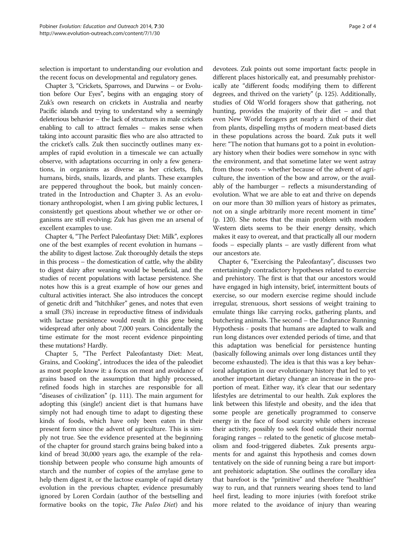selection is important to understanding our evolution and the recent focus on developmental and regulatory genes.

Chapter 3, "Crickets, Sparrows, and Darwins – or Evolution before Our Eyes", begins with an engaging story of Zuk's own research on crickets in Australia and nearby Pacific islands and trying to understand why a seemingly deleterious behavior – the lack of structures in male crickets enabling to call to attract females – makes sense when taking into account parasitic flies who are also attracted to the cricket's calls. Zuk then succinctly outlines many examples of rapid evolution in a timescale we can actually observe, with adaptations occurring in only a few generations, in organisms as diverse as her crickets, fish, humans, birds, snails, lizards, and plants. These examples are peppered throughout the book, but mainly concentrated in the Introduction and Chapter 3. As an evolutionary anthropologist, when I am giving public lectures, I consistently get questions about whether we or other organisms are still evolving; Zuk has given me an arsenal of excellent examples to use.

Chapter 4, "The Perfect Paleofantasy Diet: Milk", explores one of the best examples of recent evolution in humans – the ability to digest lactose. Zuk thoroughly details the steps in this process – the domestication of cattle, why the ability to digest dairy after weaning would be beneficial, and the studies of recent populations with lactase persistence. She notes how this is a great example of how our genes and cultural activities interact. She also introduces the concept of genetic drift and "hitchhiker" genes, and notes that even a small (3%) increase in reproductive fitness of individuals with lactase persistence would result in this gene being widespread after only about 7,000 years. Coincidentally the time estimate for the most recent evidence pinpointing these mutations? Hardly.

Chapter 5, "The Perfect Paleofantasty Diet: Meat, Grains, and Cooking", introduces the idea of the paleodiet as most people know it: a focus on meat and avoidance of grains based on the assumption that highly processed, refined foods high in starches are responsible for all "diseases of civilization" (p. 111). The main argument for adopting this (single!) ancient diet is that humans have simply not had enough time to adapt to digesting these kinds of foods, which have only been eaten in their present form since the advent of agriculture. This is simply not true. See the evidence presented at the beginning of the chapter for ground starch grains being baked into a kind of bread 30,000 years ago, the example of the relationship between people who consume high amounts of starch and the number of copies of the amylase gene to help them digest it, or the lactose example of rapid dietary evolution in the previous chapter, evidence presumably ignored by Loren Cordain (author of the bestselling and formative books on the topic, The Paleo Diet) and his

devotees. Zuk points out some important facts: people in different places historically eat, and presumably prehistorically ate "different foods; modifying them to different degrees, and thrived on the variety" (p. 125). Additionally, studies of Old World foragers show that gathering, not hunting, provides the majority of their diet – and that even New World foragers get nearly a third of their diet from plants, dispelling myths of modern meat-based diets in these populations across the board. Zuk puts it well here: "The notion that humans got to a point in evolutionary history when their bodies were somehow in sync with the environment, and that sometime later we went astray from those roots – whether because of the advent of agriculture, the invention of the bow and arrow, or the availably of the hamburger – reflects a misunderstanding of evolution. What we are able to eat and thrive on depends on our more than 30 million years of history as primates, not on a single arbitrarily more recent moment in time" (p. 120). She notes that the main problem with modern Western diets seems to be their energy density, which makes it easy to overeat, and that practically all our modern foods – especially plants – are vastly different from what our ancestors ate.

Chapter 6, "Exercising the Paleofantasy", discusses two entertainingly contradictory hypotheses related to exercise and prehistory. The first is that that our ancestors would have engaged in high intensity, brief, intermittent bouts of exercise, so our modern exercise regime should include irregular, strenuous, short sessions of weight training to emulate things like carrying rocks, gathering plants, and butchering animals. The second – the Endurance Running Hypothesis - posits that humans are adapted to walk and run long distances over extended periods of time, and that this adaptation was beneficial for persistence hunting (basically following animals over long distances until they become exhausted). The idea is that this was a key behavioral adaptation in our evolutionary history that led to yet another important dietary change: an increase in the proportion of meat. Either way, it's clear that our sedentary lifestyles are detrimental to our health. Zuk explores the link between this lifestyle and obesity, and the idea that some people are genetically programmed to conserve energy in the face of food scarcity while others increase their activity, possibly to seek food outside their normal foraging ranges – related to the genetic of glucose metabolism and food-triggered diabetes. Zuk presents arguments for and against this hypothesis and comes down tentatively on the side of running being a rare but important prehistoric adaptation. She outlines the corollary idea that barefoot is the "primitive" and therefore "healthier" way to run, and that runners wearing shoes tend to land heel first, leading to more injuries (with forefoot strike more related to the avoidance of injury than wearing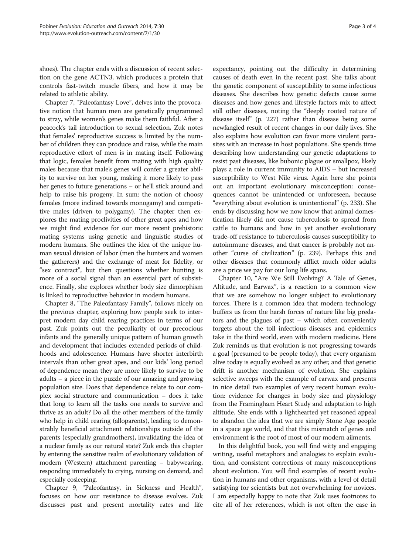shoes). The chapter ends with a discussion of recent selection on the gene ACTN3, which produces a protein that controls fast-twitch muscle fibers, and how it may be related to athletic ability.

Chapter 7, "Paleofantasy Love", delves into the provocative notion that human men are genetically programmed to stray, while women's genes make them faithful. After a peacock's tail introduction to sexual selection, Zuk notes that females' reproductive success is limited by the number of children they can produce and raise, while the main reproductive effort of men is in mating itself. Following that logic, females benefit from mating with high quality males because that male's genes will confer a greater ability to survive on her young, making it more likely to pass her genes to future generations – or he'll stick around and help to raise his progeny. In sum: the notion of choosy females (more inclined towards monogamy) and competitive males (driven to polygamy). The chapter then explores the mating proclivities of other great apes and how we might find evidence for our more recent prehistoric mating systems using genetic and linguistic studies of modern humans. She outlines the idea of the unique human sexual division of labor (men the hunters and women the gatherers) and the exchange of meat for fidelity, or "sex contract", but then questions whether hunting is more of a social signal than an essential part of subsistence. Finally, she explores whether body size dimorphism is linked to reproductive behavior in modern humans.

Chapter 8, "The Paleofantasy Family", follows nicely on the previous chapter, exploring how people seek to interpret modern day child rearing practices in terms of our past. Zuk points out the peculiarity of our precocious infants and the generally unique pattern of human growth and development that includes extended periods of childhoods and adolescence. Humans have shorter interbirth intervals than other great apes, and our kids' long period of dependence mean they are more likely to survive to be adults – a piece in the puzzle of our amazing and growing population size. Does that dependence relate to our complex social structure and communication – does it take that long to learn all the tasks one needs to survive and thrive as an adult? Do all the other members of the family who help in child rearing (alloparents), leading to demonstrably beneficial attachment relationships outside of the parents (especially grandmothers), invalidating the idea of a nuclear family as our natural state? Zuk ends this chapter by entering the sensitive realm of evolutionary validation of modern (Western) attachment parenting – babywearing, responding immediately to crying, nursing on demand, and especially cosleeping.

Chapter 9, "Paleofantasy, in Sickness and Health", focuses on how our resistance to disease evolves. Zuk discusses past and present mortality rates and life

expectancy, pointing out the difficulty in determining causes of death even in the recent past. She talks about the genetic component of susceptibility to some infectious diseases. She describes how genetic defects cause some diseases and how genes and lifestyle factors mix to affect still other diseases, noting the "deeply rooted nature of disease itself" (p. 227) rather than disease being some newfangled result of recent changes in our daily lives. She also explains how evolution can favor more virulent parasites with an increase in host populations. She spends time describing how understanding our genetic adaptations to resist past diseases, like bubonic plague or smallpox, likely plays a role in current immunity to AIDS – but increased susceptibility to West Nile virus. Again here she points out an important evolutionary misconception: consequences cannot be unintended or unforeseen, because "everything about evolution is unintentional" (p. 233). She ends by discussing how we now know that animal domestication likely did not cause tuberculosis to spread from cattle to humans and how in yet another evolutionary trade-off resistance to tuberculosis causes susceptibility to autoimmune diseases, and that cancer is probably not another "curse of civilization" (p. 239). Perhaps this and other diseases that commonly afflict much older adults are a price we pay for our long life spans.

Chapter 10, "Are We Still Evolving? A Tale of Genes, Altitude, and Earwax", is a reaction to a common view that we are somehow no longer subject to evolutionary forces. There is a common idea that modern technology buffers us from the harsh forces of nature like big predators and the plagues of past – which often conveniently forgets about the toll infectious diseases and epidemics take in the third world, even with modern medicine. Here Zuk reminds us that evolution is not progressing towards a goal (presumed to be people today), that every organism alive today is equally evolved as any other, and that genetic drift is another mechanism of evolution. She explains selective sweeps with the example of earwax and presents in nice detail two examples of very recent human evolution: evidence for changes in body size and physiology from the Framingham Heart Study and adaptation to high altitude. She ends with a lighthearted yet reasoned appeal to abandon the idea that we are simply Stone Age people in a space age world, and that this mismatch of genes and environment is the root of most of our modern ailments.

In this delightful book, you will find witty and engaging writing, useful metaphors and analogies to explain evolution, and consistent corrections of many misconceptions about evolution. You will find examples of recent evolution in humans and other organisms, with a level of detail satisfying for scientists but not overwhelming for novices. I am especially happy to note that Zuk uses footnotes to cite all of her references, which is not often the case in